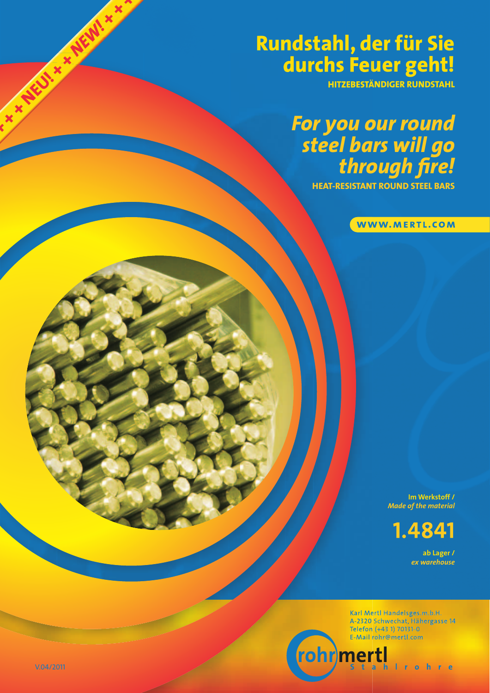## **Rundstahl, der für Sie durchs Feuer geht!**

**HITZEBESTÄNDIGER RUNDSTAHL**

# *For you our round steel bars will go through fi re!*

**HEAT-RESISTANT ROUND STEEL BARS**

WWW.MERTL.COM

**Im Werkstoff /** *Made of the material*

**1.4841** 

**ab Lager /**  *ex warehouse*

Karl Mertl Handelsges.m.b.H. A-2320 Schwechat, Hähergasse 14 Telefon (+43 1) 70131-0 E-Mail rohr@mertl.com

 $\mathbf{h}$ 

**Irohre** 

mertl

**\* \* AEU! \* \* AEW! \* \* >**